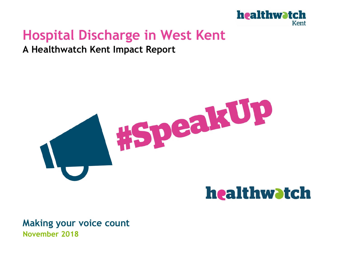

## **Hospital Discharge in West Kent**

#### **A Healthwatch Kent Impact Report**



# healthwatch

**Making your voice count November 2018**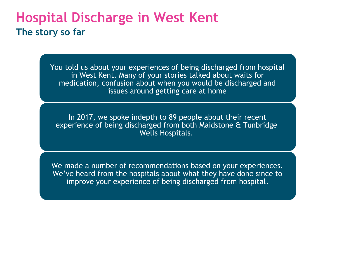### **Hospital Discharge in West Kent The story so far**

You told us about your experiences of being discharged from hospital in West Kent. Many of your stories talked about waits for medication, confusion about when you would be discharged and issues around getting care at home

In 2017, we spoke indepth to 89 people about their recent experience of being discharged from both Maidstone & Tunbridge Wells Hospitals.

We made a number of recommendations based on your experiences. We've heard from the hospitals about what they have done since to improve your experience of being discharged from hospital.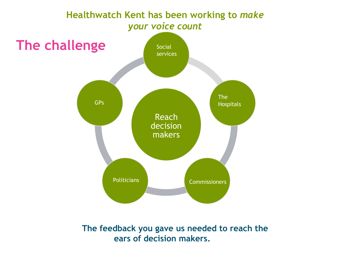

**The feedback you gave us needed to reach the ears of decision makers.**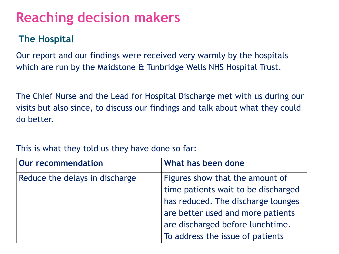# **Reaching decision makers**

### **The Hospital**

Our report and our findings were received very warmly by the hospitals which are run by the Maidstone & Tunbridge Wells NHS Hospital Trust.

The Chief Nurse and the Lead for Hospital Discharge met with us during our visits but also since, to discuss our findings and talk about what they could do better.

#### This is what they told us they have done so far:

| <b>Our recommendation</b>      | What has been done                  |
|--------------------------------|-------------------------------------|
| Reduce the delays in discharge | Figures show that the amount of     |
|                                | time patients wait to be discharged |
|                                | has reduced. The discharge lounges  |
|                                | are better used and more patients   |
|                                | are discharged before lunchtime.    |
|                                | To address the issue of patients    |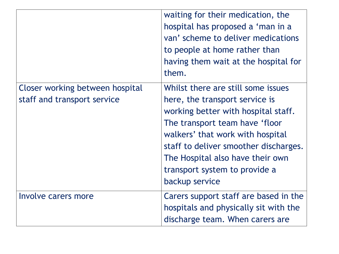|                                                                | waiting for their medication, the<br>hospital has proposed a 'man in a<br>van' scheme to deliver medications<br>to people at home rather than<br>having them wait at the hospital for<br>them.                                                                                                                    |
|----------------------------------------------------------------|-------------------------------------------------------------------------------------------------------------------------------------------------------------------------------------------------------------------------------------------------------------------------------------------------------------------|
| Closer working between hospital<br>staff and transport service | Whilst there are still some issues<br>here, the transport service is<br>working better with hospital staff.<br>The transport team have 'floor<br>walkers' that work with hospital<br>staff to deliver smoother discharges.<br>The Hospital also have their own<br>transport system to provide a<br>backup service |
| Involve carers more                                            | Carers support staff are based in the<br>hospitals and physically sit with the<br>discharge team. When carers are                                                                                                                                                                                                 |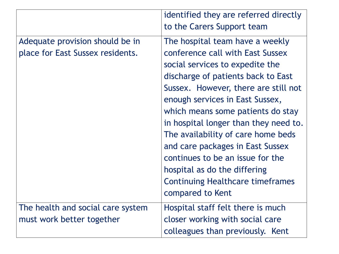|                                                                     | identified they are referred directly<br>to the Carers Support team                                                                                                                                                                                                                                                                                                                                                                                                                                                |
|---------------------------------------------------------------------|--------------------------------------------------------------------------------------------------------------------------------------------------------------------------------------------------------------------------------------------------------------------------------------------------------------------------------------------------------------------------------------------------------------------------------------------------------------------------------------------------------------------|
| Adequate provision should be in<br>place for East Sussex residents. | The hospital team have a weekly<br>conference call with East Sussex<br>social services to expedite the<br>discharge of patients back to East<br>Sussex. However, there are still not<br>enough services in East Sussex,<br>which means some patients do stay<br>in hospital longer than they need to.<br>The availability of care home beds<br>and care packages in East Sussex<br>continues to be an issue for the<br>hospital as do the differing<br><b>Continuing Healthcare timeframes</b><br>compared to Kent |
| The health and social care system<br>must work better together      | Hospital staff felt there is much<br>closer working with social care<br>colleagues than previously. Kent                                                                                                                                                                                                                                                                                                                                                                                                           |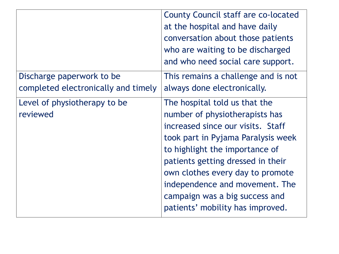|                                     | <b>County Council staff are co-located</b><br>at the hospital and have daily<br>conversation about those patients<br>who are waiting to be discharged<br>and who need social care support. |
|-------------------------------------|--------------------------------------------------------------------------------------------------------------------------------------------------------------------------------------------|
| Discharge paperwork to be           | This remains a challenge and is not                                                                                                                                                        |
| completed electronically and timely | always done electronically.                                                                                                                                                                |
| Level of physiotherapy to be        | The hospital told us that the                                                                                                                                                              |
| reviewed                            | number of physiotherapists has                                                                                                                                                             |
|                                     | increased since our visits. Staff                                                                                                                                                          |
|                                     | took part in Pyjama Paralysis week                                                                                                                                                         |
|                                     | to highlight the importance of                                                                                                                                                             |
|                                     | patients getting dressed in their                                                                                                                                                          |
|                                     | own clothes every day to promote                                                                                                                                                           |
|                                     | independence and movement. The                                                                                                                                                             |
|                                     | campaign was a big success and                                                                                                                                                             |
|                                     | patients' mobility has improved.                                                                                                                                                           |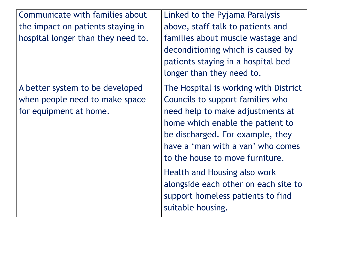| Communicate with families about                                                             | Linked to the Pyjama Paralysis                                                                                                                                                                                                                                                                                                                                                                  |
|---------------------------------------------------------------------------------------------|-------------------------------------------------------------------------------------------------------------------------------------------------------------------------------------------------------------------------------------------------------------------------------------------------------------------------------------------------------------------------------------------------|
| the impact on patients staying in                                                           | above, staff talk to patients and                                                                                                                                                                                                                                                                                                                                                               |
| hospital longer than they need to.                                                          | families about muscle wastage and<br>deconditioning which is caused by<br>patients staying in a hospital bed<br>longer than they need to.                                                                                                                                                                                                                                                       |
| A better system to be developed<br>when people need to make space<br>for equipment at home. | The Hospital is working with District<br>Councils to support families who<br>need help to make adjustments at<br>home which enable the patient to<br>be discharged. For example, they<br>have a 'man with a van' who comes<br>to the house to move furniture.<br>Health and Housing also work<br>alongside each other on each site to<br>support homeless patients to find<br>suitable housing. |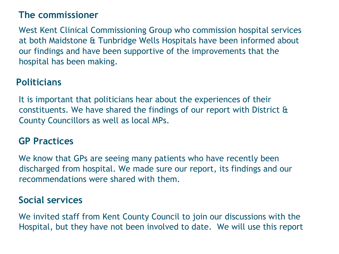### **The commissioner**

West Kent Clinical Commissioning Group who commission hospital services at both Maidstone & Tunbridge Wells Hospitals have been informed about our findings and have been supportive of the improvements that the hospital has been making.

### **Politicians**

It is important that politicians hear about the experiences of their constituents. We have shared the findings of our report with District & County Councillors as well as local MPs.

#### **GP Practices**

We know that GPs are seeing many patients who have recently been discharged from hospital. We made sure our report, its findings and our recommendations were shared with them.

#### **Social services**

We invited staff from Kent County Council to join our discussions with the Hospital, but they have not been involved to date. We will use this report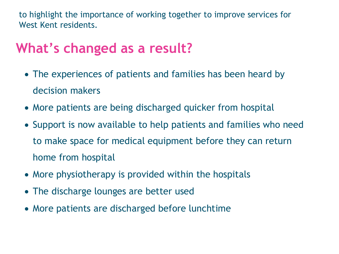to highlight the importance of working together to improve services for West Kent residents.

# **What's changed as a result?**

- The experiences of patients and families has been heard by decision makers
- More patients are being discharged quicker from hospital
- Support is now available to help patients and families who need to make space for medical equipment before they can return home from hospital
- More physiotherapy is provided within the hospitals
- The discharge lounges are better used
- More patients are discharged before lunchtime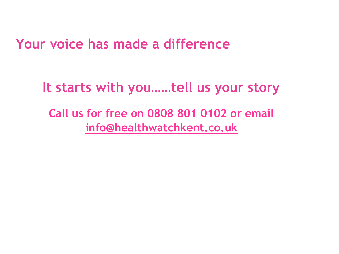## **Your voice has made a difference**

**It starts with you……tell us your story**

**Call us for free on 0808 801 0102 or email [info@healthwatchkent.co.uk](mailto:info@healthwatchkent.co.uk)**